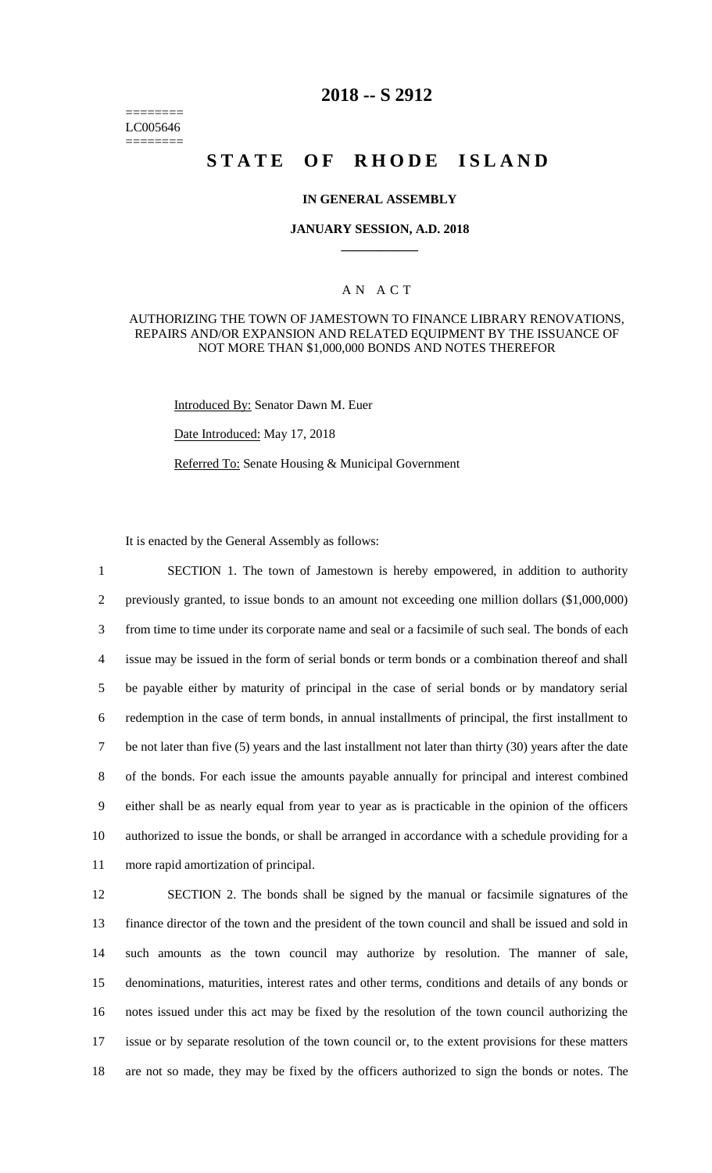======== LC005646 ========

# **2018 -- S 2912**

# STATE OF RHODE ISLAND

#### **IN GENERAL ASSEMBLY**

#### **JANUARY SESSION, A.D. 2018 \_\_\_\_\_\_\_\_\_\_\_\_**

### A N A C T

#### AUTHORIZING THE TOWN OF JAMESTOWN TO FINANCE LIBRARY RENOVATIONS, REPAIRS AND/OR EXPANSION AND RELATED EQUIPMENT BY THE ISSUANCE OF NOT MORE THAN \$1,000,000 BONDS AND NOTES THEREFOR

Introduced By: Senator Dawn M. Euer

Date Introduced: May 17, 2018

Referred To: Senate Housing & Municipal Government

It is enacted by the General Assembly as follows:

 SECTION 1. The town of Jamestown is hereby empowered, in addition to authority previously granted, to issue bonds to an amount not exceeding one million dollars (\$1,000,000) from time to time under its corporate name and seal or a facsimile of such seal. The bonds of each issue may be issued in the form of serial bonds or term bonds or a combination thereof and shall be payable either by maturity of principal in the case of serial bonds or by mandatory serial redemption in the case of term bonds, in annual installments of principal, the first installment to be not later than five (5) years and the last installment not later than thirty (30) years after the date of the bonds. For each issue the amounts payable annually for principal and interest combined either shall be as nearly equal from year to year as is practicable in the opinion of the officers authorized to issue the bonds, or shall be arranged in accordance with a schedule providing for a more rapid amortization of principal.

 SECTION 2. The bonds shall be signed by the manual or facsimile signatures of the finance director of the town and the president of the town council and shall be issued and sold in such amounts as the town council may authorize by resolution. The manner of sale, denominations, maturities, interest rates and other terms, conditions and details of any bonds or notes issued under this act may be fixed by the resolution of the town council authorizing the issue or by separate resolution of the town council or, to the extent provisions for these matters are not so made, they may be fixed by the officers authorized to sign the bonds or notes. The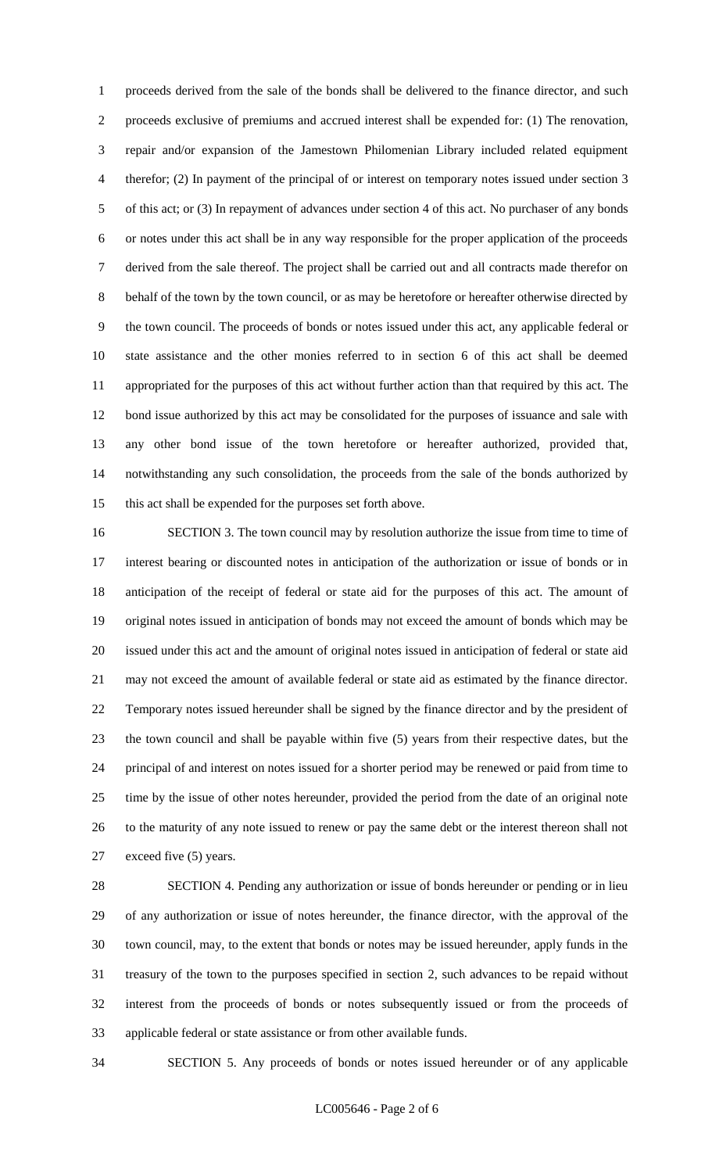proceeds derived from the sale of the bonds shall be delivered to the finance director, and such proceeds exclusive of premiums and accrued interest shall be expended for: (1) The renovation, repair and/or expansion of the Jamestown Philomenian Library included related equipment therefor; (2) In payment of the principal of or interest on temporary notes issued under section 3 of this act; or (3) In repayment of advances under section 4 of this act. No purchaser of any bonds or notes under this act shall be in any way responsible for the proper application of the proceeds derived from the sale thereof. The project shall be carried out and all contracts made therefor on behalf of the town by the town council, or as may be heretofore or hereafter otherwise directed by the town council. The proceeds of bonds or notes issued under this act, any applicable federal or state assistance and the other monies referred to in section 6 of this act shall be deemed appropriated for the purposes of this act without further action than that required by this act. The bond issue authorized by this act may be consolidated for the purposes of issuance and sale with any other bond issue of the town heretofore or hereafter authorized, provided that, notwithstanding any such consolidation, the proceeds from the sale of the bonds authorized by this act shall be expended for the purposes set forth above.

 SECTION 3. The town council may by resolution authorize the issue from time to time of interest bearing or discounted notes in anticipation of the authorization or issue of bonds or in anticipation of the receipt of federal or state aid for the purposes of this act. The amount of original notes issued in anticipation of bonds may not exceed the amount of bonds which may be issued under this act and the amount of original notes issued in anticipation of federal or state aid may not exceed the amount of available federal or state aid as estimated by the finance director. Temporary notes issued hereunder shall be signed by the finance director and by the president of the town council and shall be payable within five (5) years from their respective dates, but the principal of and interest on notes issued for a shorter period may be renewed or paid from time to time by the issue of other notes hereunder, provided the period from the date of an original note to the maturity of any note issued to renew or pay the same debt or the interest thereon shall not exceed five (5) years.

 SECTION 4. Pending any authorization or issue of bonds hereunder or pending or in lieu of any authorization or issue of notes hereunder, the finance director, with the approval of the town council, may, to the extent that bonds or notes may be issued hereunder, apply funds in the treasury of the town to the purposes specified in section 2, such advances to be repaid without interest from the proceeds of bonds or notes subsequently issued or from the proceeds of applicable federal or state assistance or from other available funds.

SECTION 5. Any proceeds of bonds or notes issued hereunder or of any applicable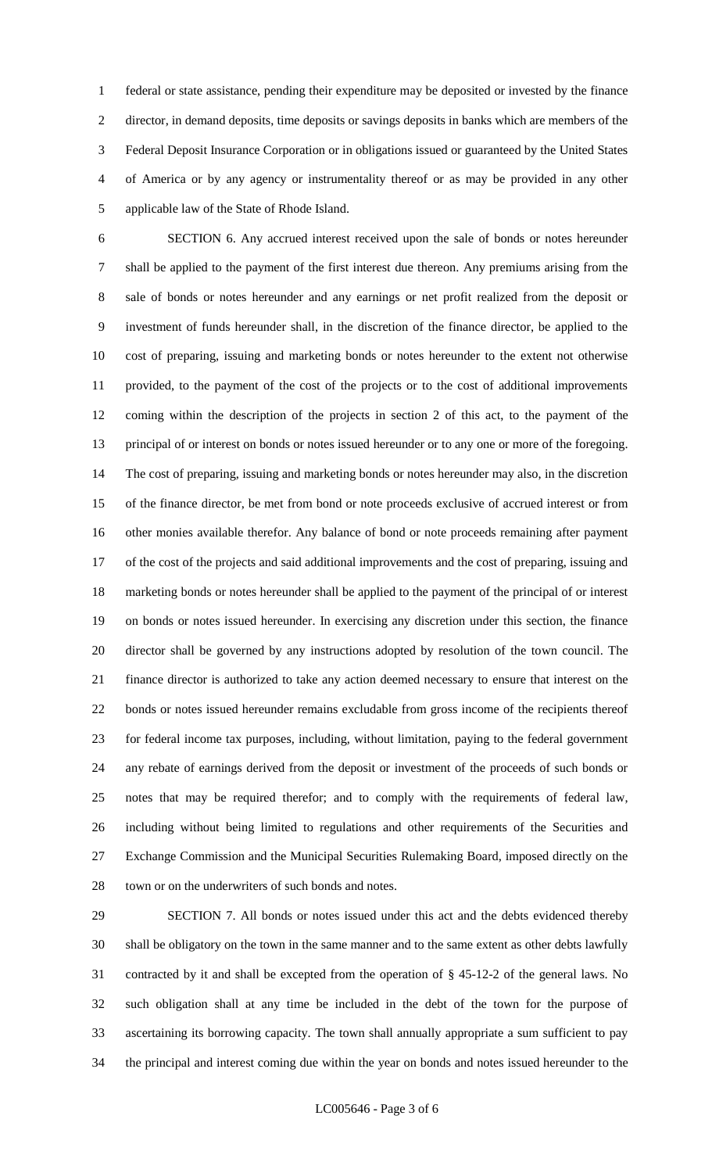federal or state assistance, pending their expenditure may be deposited or invested by the finance director, in demand deposits, time deposits or savings deposits in banks which are members of the Federal Deposit Insurance Corporation or in obligations issued or guaranteed by the United States of America or by any agency or instrumentality thereof or as may be provided in any other applicable law of the State of Rhode Island.

 SECTION 6. Any accrued interest received upon the sale of bonds or notes hereunder shall be applied to the payment of the first interest due thereon. Any premiums arising from the sale of bonds or notes hereunder and any earnings or net profit realized from the deposit or investment of funds hereunder shall, in the discretion of the finance director, be applied to the cost of preparing, issuing and marketing bonds or notes hereunder to the extent not otherwise provided, to the payment of the cost of the projects or to the cost of additional improvements coming within the description of the projects in section 2 of this act, to the payment of the principal of or interest on bonds or notes issued hereunder or to any one or more of the foregoing. The cost of preparing, issuing and marketing bonds or notes hereunder may also, in the discretion of the finance director, be met from bond or note proceeds exclusive of accrued interest or from other monies available therefor. Any balance of bond or note proceeds remaining after payment of the cost of the projects and said additional improvements and the cost of preparing, issuing and marketing bonds or notes hereunder shall be applied to the payment of the principal of or interest on bonds or notes issued hereunder. In exercising any discretion under this section, the finance director shall be governed by any instructions adopted by resolution of the town council. The finance director is authorized to take any action deemed necessary to ensure that interest on the bonds or notes issued hereunder remains excludable from gross income of the recipients thereof for federal income tax purposes, including, without limitation, paying to the federal government any rebate of earnings derived from the deposit or investment of the proceeds of such bonds or notes that may be required therefor; and to comply with the requirements of federal law, including without being limited to regulations and other requirements of the Securities and Exchange Commission and the Municipal Securities Rulemaking Board, imposed directly on the town or on the underwriters of such bonds and notes.

 SECTION 7. All bonds or notes issued under this act and the debts evidenced thereby shall be obligatory on the town in the same manner and to the same extent as other debts lawfully contracted by it and shall be excepted from the operation of § 45-12-2 of the general laws. No such obligation shall at any time be included in the debt of the town for the purpose of ascertaining its borrowing capacity. The town shall annually appropriate a sum sufficient to pay the principal and interest coming due within the year on bonds and notes issued hereunder to the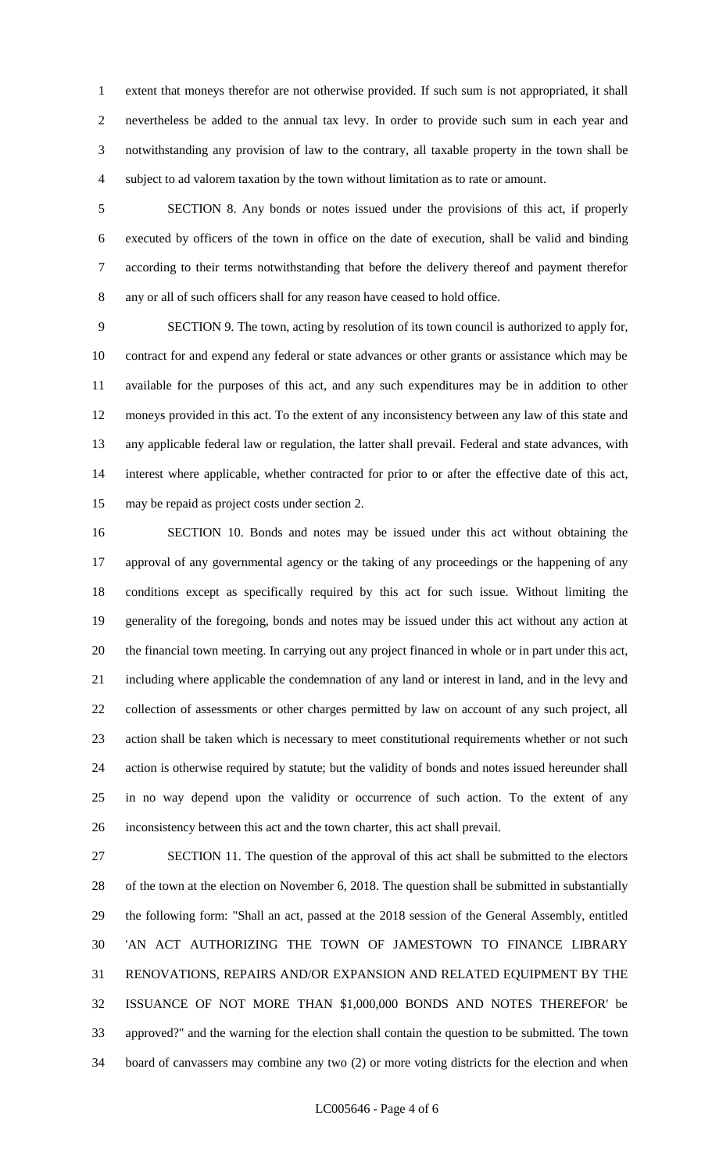extent that moneys therefor are not otherwise provided. If such sum is not appropriated, it shall nevertheless be added to the annual tax levy. In order to provide such sum in each year and notwithstanding any provision of law to the contrary, all taxable property in the town shall be subject to ad valorem taxation by the town without limitation as to rate or amount.

 SECTION 8. Any bonds or notes issued under the provisions of this act, if properly executed by officers of the town in office on the date of execution, shall be valid and binding according to their terms notwithstanding that before the delivery thereof and payment therefor any or all of such officers shall for any reason have ceased to hold office.

 SECTION 9. The town, acting by resolution of its town council is authorized to apply for, contract for and expend any federal or state advances or other grants or assistance which may be available for the purposes of this act, and any such expenditures may be in addition to other moneys provided in this act. To the extent of any inconsistency between any law of this state and any applicable federal law or regulation, the latter shall prevail. Federal and state advances, with interest where applicable, whether contracted for prior to or after the effective date of this act, may be repaid as project costs under section 2.

 SECTION 10. Bonds and notes may be issued under this act without obtaining the approval of any governmental agency or the taking of any proceedings or the happening of any conditions except as specifically required by this act for such issue. Without limiting the generality of the foregoing, bonds and notes may be issued under this act without any action at the financial town meeting. In carrying out any project financed in whole or in part under this act, including where applicable the condemnation of any land or interest in land, and in the levy and collection of assessments or other charges permitted by law on account of any such project, all action shall be taken which is necessary to meet constitutional requirements whether or not such action is otherwise required by statute; but the validity of bonds and notes issued hereunder shall in no way depend upon the validity or occurrence of such action. To the extent of any inconsistency between this act and the town charter, this act shall prevail.

 SECTION 11. The question of the approval of this act shall be submitted to the electors of the town at the election on November 6, 2018. The question shall be submitted in substantially the following form: "Shall an act, passed at the 2018 session of the General Assembly, entitled 'AN ACT AUTHORIZING THE TOWN OF JAMESTOWN TO FINANCE LIBRARY RENOVATIONS, REPAIRS AND/OR EXPANSION AND RELATED EQUIPMENT BY THE ISSUANCE OF NOT MORE THAN \$1,000,000 BONDS AND NOTES THEREFOR' be approved?" and the warning for the election shall contain the question to be submitted. The town board of canvassers may combine any two (2) or more voting districts for the election and when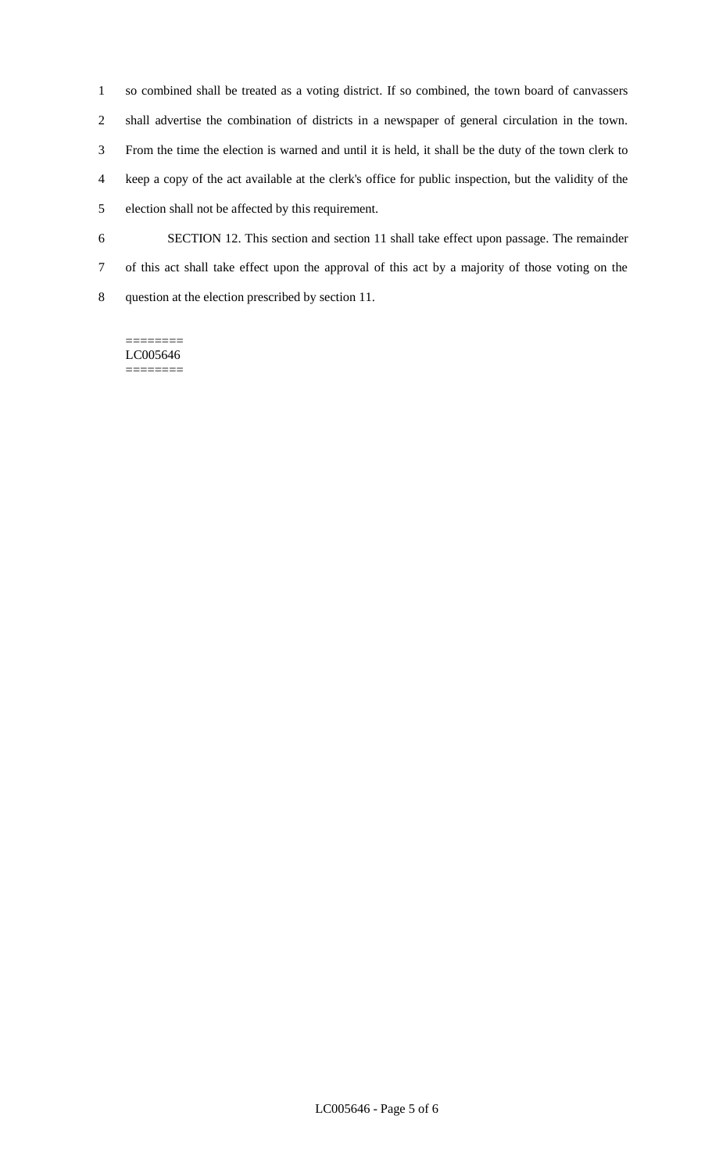so combined shall be treated as a voting district. If so combined, the town board of canvassers shall advertise the combination of districts in a newspaper of general circulation in the town. From the time the election is warned and until it is held, it shall be the duty of the town clerk to keep a copy of the act available at the clerk's office for public inspection, but the validity of the election shall not be affected by this requirement. SECTION 12. This section and section 11 shall take effect upon passage. The remainder

 of this act shall take effect upon the approval of this act by a majority of those voting on the question at the election prescribed by section 11.

======== LC005646 ========